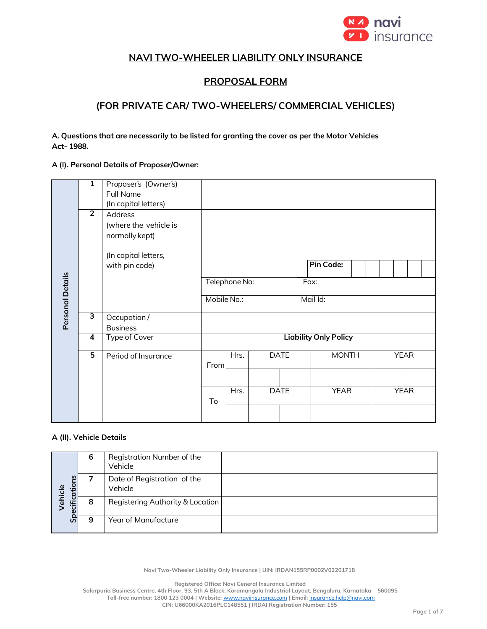

# **NAVI TWO-WHEELER LIABILITY ONLY INSURANCE**

# **PROPOSAL FORM**

## **(FOR PRIVATE CAR/ TWO-WHEELERS/ COMMERCIAL VEHICLES)**

**A. Questions that are necessarily to be listed for granting the cover as per the Motor Vehicles Act- 1988.**

#### **A (I). Personal Details of Proposer/Owner:**

|                  | $\overline{1}$ | Proposer's (Owner's)<br><b>Full Name</b> |                              |      |  |             |              |  |             |             |  |  |
|------------------|----------------|------------------------------------------|------------------------------|------|--|-------------|--------------|--|-------------|-------------|--|--|
|                  |                | (In capital letters)                     |                              |      |  |             |              |  |             |             |  |  |
|                  | $\overline{2}$ | Address                                  |                              |      |  |             |              |  |             |             |  |  |
|                  |                | (where the vehicle is                    |                              |      |  |             |              |  |             |             |  |  |
|                  |                | normally kept)                           |                              |      |  |             |              |  |             |             |  |  |
|                  |                | (In capital letters,                     |                              |      |  |             |              |  |             |             |  |  |
|                  |                | with pin code)                           |                              |      |  |             | Pin Code:    |  |             |             |  |  |
|                  |                |                                          | Telephone No:                |      |  |             | Fax:         |  |             |             |  |  |
| Personal Details |                |                                          | Mobile No.:                  |      |  |             | Mail Id:     |  |             |             |  |  |
|                  | З              | Occupation /<br><b>Business</b>          |                              |      |  |             |              |  |             |             |  |  |
|                  | 4              | Type of Cover                            | <b>Liability Only Policy</b> |      |  |             |              |  |             |             |  |  |
|                  | 5              | Period of Insurance                      | From                         | Hrs. |  | <b>DATE</b> | <b>MONTH</b> |  | <b>YEAR</b> |             |  |  |
|                  |                |                                          |                              |      |  |             |              |  |             |             |  |  |
|                  |                |                                          |                              | Hrs. |  | <b>DATE</b> | <b>YEAR</b>  |  |             | <b>YEAR</b> |  |  |
|                  |                |                                          |                              |      |  |             |              |  |             |             |  |  |

#### **A (II). Vehicle Details**

| Specifications<br>ehicle | 6 | Registration Number of the<br>Vehicle  |
|--------------------------|---|----------------------------------------|
|                          |   | Date of Registration of the<br>Vehicle |
|                          | 8 | Registering Authority & Location       |
|                          | 9 | Year of Manufacture                    |

**Navi Two-Wheeler Liability Only Insurance | UIN: IRDAN155RP0002V02201718**

**Registered Office: Navi General Insurance Limited**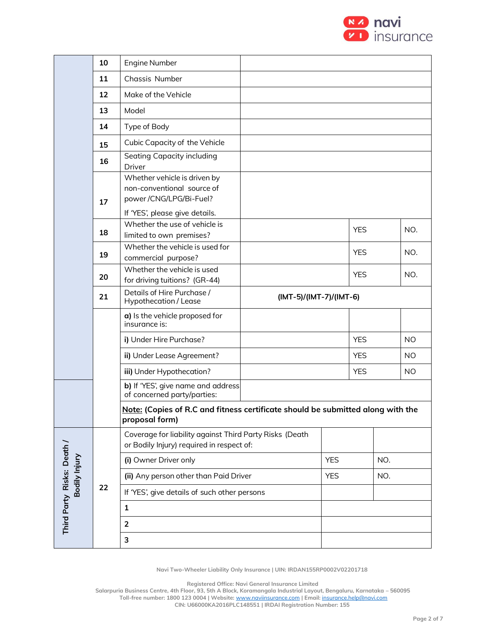

|                           | 10                                                                 | Engine Number                                                                                                          |            |                         |            |            |           |  |
|---------------------------|--------------------------------------------------------------------|------------------------------------------------------------------------------------------------------------------------|------------|-------------------------|------------|------------|-----------|--|
|                           | 11                                                                 | Chassis Number                                                                                                         |            |                         |            |            |           |  |
|                           | 12                                                                 | Make of the Vehicle                                                                                                    |            |                         |            |            |           |  |
|                           | 13                                                                 | Model                                                                                                                  |            |                         |            |            |           |  |
|                           | 14                                                                 | Type of Body                                                                                                           |            |                         |            |            |           |  |
|                           | 15                                                                 | Cubic Capacity of the Vehicle                                                                                          |            |                         |            |            |           |  |
|                           | 16                                                                 | Seating Capacity including<br>Driver                                                                                   |            |                         |            |            |           |  |
|                           | 17                                                                 | Whether vehicle is driven by<br>non-conventional source of<br>power/CNG/LPG/Bi-Fuel?<br>If 'YES', please give details. |            |                         |            |            |           |  |
|                           | 18                                                                 | Whether the use of vehicle is<br>limited to own premises?                                                              |            | <b>YES</b>              |            | NO.        |           |  |
|                           | 19                                                                 | Whether the vehicle is used for<br>commercial purpose?                                                                 |            |                         | <b>YES</b> |            | NO.       |  |
|                           | Whether the vehicle is used<br>20<br>for driving tuitions? (GR-44) |                                                                                                                        |            |                         |            | <b>YES</b> |           |  |
|                           | 21                                                                 | Details of Hire Purchase /<br>Hypothecation / Lease                                                                    |            | (IMT-5)/(IMT-7)/(IMT-6) |            |            |           |  |
|                           |                                                                    | a) Is the vehicle proposed for<br>insurance is:                                                                        |            |                         |            |            |           |  |
|                           |                                                                    | i) Under Hire Purchase?                                                                                                |            |                         |            |            | <b>NO</b> |  |
|                           |                                                                    | ii) Under Lease Agreement?                                                                                             |            |                         | <b>YES</b> |            | <b>NO</b> |  |
|                           |                                                                    | iii) Under Hypothecation?                                                                                              |            |                         | <b>YES</b> |            | <b>NO</b> |  |
|                           |                                                                    | b) If 'YES', give name and address<br>of concerned party/parties:                                                      |            |                         |            |            |           |  |
|                           |                                                                    | Note: (Copies of R.C and fitness certificate should be submitted along with the<br>proposal form)                      |            |                         |            |            |           |  |
|                           |                                                                    | Coverage for liability against Third Party Risks (Death<br>or Bodily Injury) required in respect of:                   |            |                         |            |            |           |  |
|                           |                                                                    | (i) Owner Driver only                                                                                                  |            | <b>YES</b>              |            | NO.        |           |  |
| Bodily Injury             |                                                                    | (ii) Any person other than Paid Driver                                                                                 | <b>YES</b> |                         | NO.        |            |           |  |
|                           | 22                                                                 | If 'YES', give details of such other persons                                                                           |            |                         |            |            |           |  |
| Third Party Risks: Death/ |                                                                    | $\mathbf{1}$                                                                                                           |            |                         |            |            |           |  |
|                           |                                                                    | $\overline{2}$                                                                                                         |            |                         |            |            |           |  |
|                           |                                                                    | 3                                                                                                                      |            |                         |            |            |           |  |
|                           |                                                                    |                                                                                                                        |            |                         |            |            |           |  |

**Registered Office: Navi General Insurance Limited**

**Salarpuria Business Centre, 4th Floor, 93, 5th A Block, Koramangala Industrial Layout, Bengaluru, Karnataka – 560095 Toll-free number: 1800 123 0004 | Website:** [www.naviinsurance.com](http://www.naviinsurance.com/) **| Email:** [insurance.help@navi.com](mailto:insurance.help@navi.com)

**CIN: U66000KA2016PLC148551 | IRDAI Registration Number: 155**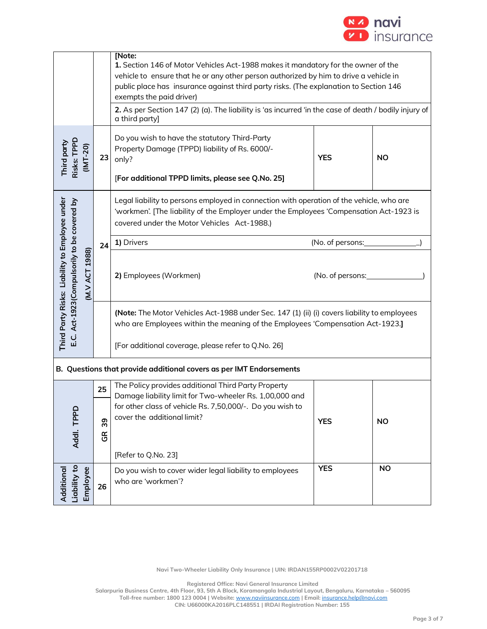

| Third party<br>Risks: TPPD                                                                                         | [Note:<br>1. Section 146 of Motor Vehicles Act-1988 makes it mandatory for the owner of the<br>vehicle to ensure that he or any other person authorized by him to drive a vehicle in<br>public place has insurance against third party risks. (The explanation to Section 146<br>exempts the paid driver)<br>2. As per Section 147 (2) (a). The liability is 'as incurred 'in the case of death / bodily injury of<br>a third party]<br>Do you wish to have the statutory Third-Party<br>$(MT-20)$<br>Property Damage (TPPD) liability of Rs. 6000/-<br><b>YES</b><br><b>NO</b><br>23<br>only? |                                                                                                                                                                                                                                       |                  |           |  |  |  |  |
|--------------------------------------------------------------------------------------------------------------------|------------------------------------------------------------------------------------------------------------------------------------------------------------------------------------------------------------------------------------------------------------------------------------------------------------------------------------------------------------------------------------------------------------------------------------------------------------------------------------------------------------------------------------------------------------------------------------------------|---------------------------------------------------------------------------------------------------------------------------------------------------------------------------------------------------------------------------------------|------------------|-----------|--|--|--|--|
|                                                                                                                    |                                                                                                                                                                                                                                                                                                                                                                                                                                                                                                                                                                                                | [For additional TPPD limits, please see Q.No. 25]                                                                                                                                                                                     |                  |           |  |  |  |  |
|                                                                                                                    |                                                                                                                                                                                                                                                                                                                                                                                                                                                                                                                                                                                                | Legal liability to persons employed in connection with operation of the vehicle, who are<br>'workmen'. [The liability of the Employer under the Employees 'Compensation Act-1923 is<br>covered under the Motor Vehicles Act-1988.)    |                  |           |  |  |  |  |
|                                                                                                                    | 24                                                                                                                                                                                                                                                                                                                                                                                                                                                                                                                                                                                             | 1) Drivers                                                                                                                                                                                                                            | (No. of persons: |           |  |  |  |  |
| Third Party Risks: Liability to Employee under<br>E.C. Act-1923(Compulsorily to be covered by<br>1988)<br>(M.V ACT |                                                                                                                                                                                                                                                                                                                                                                                                                                                                                                                                                                                                | 2) Employees (Workmen)<br>(No. of persons:                                                                                                                                                                                            |                  |           |  |  |  |  |
|                                                                                                                    |                                                                                                                                                                                                                                                                                                                                                                                                                                                                                                                                                                                                | (Note: The Motor Vehicles Act-1988 under Sec. 147 (1) (ii) (i) covers liability to employees<br>who are Employees within the meaning of the Employees 'Compensation Act-1923.]<br>[For additional coverage, please refer to Q.No. 26] |                  |           |  |  |  |  |
|                                                                                                                    |                                                                                                                                                                                                                                                                                                                                                                                                                                                                                                                                                                                                | B. Questions that provide additional covers as per IMT Endorsements                                                                                                                                                                   |                  |           |  |  |  |  |
|                                                                                                                    | 25                                                                                                                                                                                                                                                                                                                                                                                                                                                                                                                                                                                             | The Policy provides additional Third Party Property                                                                                                                                                                                   |                  |           |  |  |  |  |
| Addl. TPPD                                                                                                         | 39<br>$\mathfrak{E}$                                                                                                                                                                                                                                                                                                                                                                                                                                                                                                                                                                           | Damage liability limit for Two-wheeler Rs. 1,00,000 and<br>for other class of vehicle Rs. 7,50,000/-. Do you wish to<br>cover the additional limit?                                                                                   | <b>YES</b>       | <b>NO</b> |  |  |  |  |
|                                                                                                                    |                                                                                                                                                                                                                                                                                                                                                                                                                                                                                                                                                                                                | [Refer to Q.No. 23]                                                                                                                                                                                                                   |                  |           |  |  |  |  |
| Additional                                                                                                         | <b>YES</b><br><b>NO</b><br>Liability to<br>Employee<br>Do you wish to cover wider legal liability to employees<br>who are 'workmen'?<br>26                                                                                                                                                                                                                                                                                                                                                                                                                                                     |                                                                                                                                                                                                                                       |                  |           |  |  |  |  |

**Registered Office: Navi General Insurance Limited**

**Salarpuria Business Centre, 4th Floor, 93, 5th A Block, Koramangala Industrial Layout, Bengaluru, Karnataka – 560095**

**Toll-free number: 1800 123 0004 | Website:** [www.naviinsurance.com](http://www.naviinsurance.com/) **| Email:** [insurance.help@navi.com](mailto:insurance.help@navi.com) **CIN: U66000KA2016PLC148551 | IRDAI Registration Number: 155**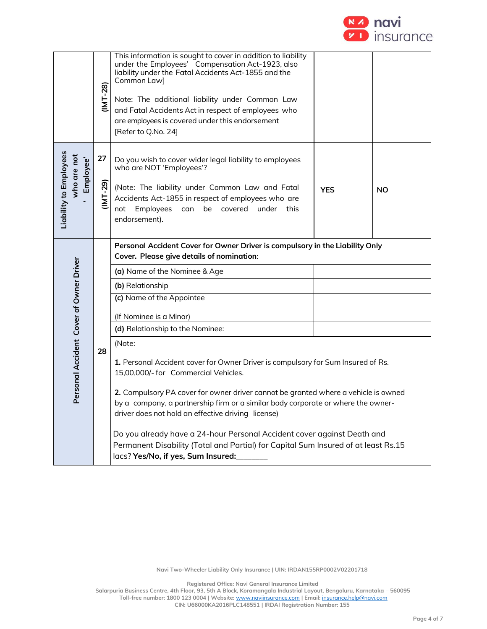

|                                                    | $(NT-28)$  | This information is sought to cover in addition to liability<br>under the Employees' Compensation Act-1923, also<br>liability under the Fatal Accidents Act-1855 and the<br>Common Law]<br>Note: The additional liability under Common Law<br>and Fatal Accidents Act in respect of employees who<br>are employees is covered under this endorsement<br>[Refer to Q.No. 24]                                                                                                                                                                                                                                                                                                                                                                                                                                       |            |           |  |  |  |  |
|----------------------------------------------------|------------|-------------------------------------------------------------------------------------------------------------------------------------------------------------------------------------------------------------------------------------------------------------------------------------------------------------------------------------------------------------------------------------------------------------------------------------------------------------------------------------------------------------------------------------------------------------------------------------------------------------------------------------------------------------------------------------------------------------------------------------------------------------------------------------------------------------------|------------|-----------|--|--|--|--|
|                                                    | 27         | Do you wish to cover wider legal liability to employees<br>who are NOT 'Employees'?                                                                                                                                                                                                                                                                                                                                                                                                                                                                                                                                                                                                                                                                                                                               |            |           |  |  |  |  |
| Liability to Employees<br>who are not<br>Employee' | $(1MT-29)$ | (Note: The liability under Common Law and Fatal<br>Accidents Act-1855 in respect of employees who are<br>Employees can<br>not<br>be covered under this<br>endorsement).                                                                                                                                                                                                                                                                                                                                                                                                                                                                                                                                                                                                                                           | <b>YES</b> | <b>NO</b> |  |  |  |  |
| Personal Accident Cover of Owner Driver            | 28         | Personal Accident Cover for Owner Driver is compulsory in the Liability Only<br>Cover. Please give details of nomination:<br>(a) Name of the Nominee & Age<br>(b) Relationship<br>(c) Name of the Appointee<br>(If Nominee is a Minor)<br>(d) Relationship to the Nominee:<br>(Note:<br>1. Personal Accident cover for Owner Driver is compulsory for Sum Insured of Rs.<br>15,00,000/- for Commercial Vehicles.<br>2. Compulsory PA cover for owner driver cannot be granted where a vehicle is owned<br>by a company, a partnership firm or a similar body corporate or where the owner-<br>driver does not hold an effective driving license)<br>Do you already have a 24-hour Personal Accident cover against Death and<br>Permanent Disability (Total and Partial) for Capital Sum Insured of at least Rs.15 |            |           |  |  |  |  |

**Registered Office: Navi General Insurance Limited**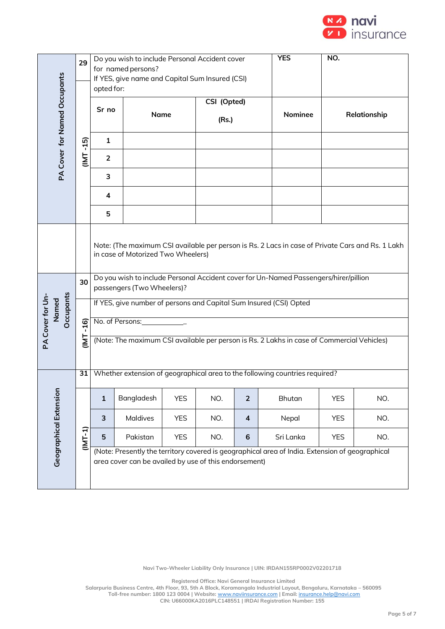

|                                              | 29       | Do you wish to include Personal Accident cover<br>for named persons?                                                                                                                                                                                                                                                               |                                                 |            |             |                | <b>YES</b>                                                                                 | NO.          |     |  |
|----------------------------------------------|----------|------------------------------------------------------------------------------------------------------------------------------------------------------------------------------------------------------------------------------------------------------------------------------------------------------------------------------------|-------------------------------------------------|------------|-------------|----------------|--------------------------------------------------------------------------------------------|--------------|-----|--|
|                                              |          | opted for:                                                                                                                                                                                                                                                                                                                         | If YES, give name and Capital Sum Insured (CSI) |            |             |                |                                                                                            |              |     |  |
|                                              |          | Sr no                                                                                                                                                                                                                                                                                                                              |                                                 |            | CSI (Opted) |                |                                                                                            |              |     |  |
| PA Cover for Named Occupants                 |          |                                                                                                                                                                                                                                                                                                                                    | <b>Name</b>                                     |            | (Rs.)       |                |                                                                                            | Relationship |     |  |
|                                              | $-15$    | $\mathbf{1}$                                                                                                                                                                                                                                                                                                                       |                                                 |            |             |                |                                                                                            |              |     |  |
|                                              | IML      | $\overline{2}$                                                                                                                                                                                                                                                                                                                     |                                                 |            |             |                |                                                                                            |              |     |  |
|                                              |          | 3                                                                                                                                                                                                                                                                                                                                  |                                                 |            |             |                |                                                                                            |              |     |  |
|                                              |          | 4                                                                                                                                                                                                                                                                                                                                  |                                                 |            |             |                |                                                                                            |              |     |  |
|                                              |          | 5                                                                                                                                                                                                                                                                                                                                  |                                                 |            |             |                |                                                                                            |              |     |  |
| <b>Dccupants</b><br>PA Cover for Un<br>Named | 30       | Note: (The maximum CSI available per person is Rs. 2 Lacs in case of Private Cars and Rs. 1 Lakh<br>in case of Motorized Two Wheelers)<br>Do you wish to include Personal Accident cover for Un-Named Passengers/hirer/pillion<br>passengers (Two Wheelers)?<br>If YES, give number of persons and Capital Sum Insured (CSI) Opted |                                                 |            |             |                |                                                                                            |              |     |  |
|                                              | $-16$    |                                                                                                                                                                                                                                                                                                                                    | No. of Persons: The Contract of Persons:        |            |             |                |                                                                                            |              |     |  |
|                                              | <u>T</u> |                                                                                                                                                                                                                                                                                                                                    |                                                 |            |             |                | (Note: The maximum CSI available per person is Rs. 2 Lakhs in case of Commercial Vehicles) |              |     |  |
|                                              | 31       |                                                                                                                                                                                                                                                                                                                                    |                                                 |            |             |                | Whether extension of geographical area to the following countries required?                |              |     |  |
| <b>Geographical Extension</b>                |          | $\mathbf 1$                                                                                                                                                                                                                                                                                                                        | Bangladesh                                      | <b>YES</b> | NO.         | $\overline{2}$ | <b>Bhutan</b>                                                                              | <b>YES</b>   | NO. |  |
|                                              |          | 3                                                                                                                                                                                                                                                                                                                                  | <b>Maldives</b>                                 | <b>YES</b> | NO.         | $\overline{4}$ | Nepal                                                                                      | <b>YES</b>   | NO. |  |
|                                              | (INT-1)  | 5                                                                                                                                                                                                                                                                                                                                  | Pakistan                                        | <b>YES</b> | NO.         | 6              | Sri Lanka                                                                                  | <b>YES</b>   | NO. |  |
|                                              |          | (Note: Presently the territory covered is geographical area of India. Extension of geographical<br>area cover can be availed by use of this endorsement)                                                                                                                                                                           |                                                 |            |             |                |                                                                                            |              |     |  |

**Registered Office: Navi General Insurance Limited**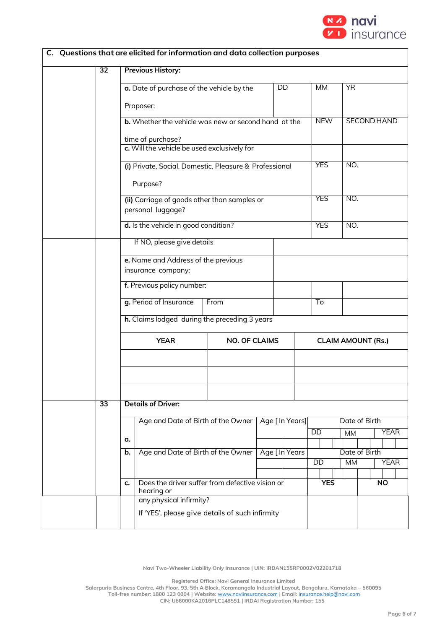

|    |                            |                                          |                                      | C. Questions that are elicited for information and data collection purposes |                      |                 |                 |                            |           |           |                    |             |
|----|----------------------------|------------------------------------------|--------------------------------------|-----------------------------------------------------------------------------|----------------------|-----------------|-----------------|----------------------------|-----------|-----------|--------------------|-------------|
|    |                            | 32                                       |                                      | <b>Previous History:</b>                                                    |                      |                 |                 |                            |           |           |                    |             |
|    |                            |                                          |                                      | a. Date of purchase of the vehicle by the                                   |                      |                 | DD              | <b>MM</b>                  |           | <b>YR</b> |                    |             |
|    |                            |                                          |                                      | Proposer:                                                                   |                      |                 |                 |                            |           |           |                    |             |
|    |                            |                                          |                                      | <b>b.</b> Whether the vehicle was new or second hand at the                 |                      |                 |                 | <b>NEW</b>                 |           |           | <b>SECOND HAND</b> |             |
|    |                            |                                          |                                      | time of purchase?<br>c. Will the vehicle be used exclusively for            |                      |                 |                 |                            |           |           |                    |             |
|    |                            |                                          |                                      |                                                                             |                      |                 |                 |                            |           |           |                    |             |
|    |                            |                                          |                                      | (i) Private, Social, Domestic, Pleasure & Professional                      |                      |                 |                 | <b>YES</b>                 |           | NO.       |                    |             |
|    |                            |                                          |                                      | Purpose?                                                                    |                      |                 |                 |                            |           |           |                    |             |
|    |                            |                                          |                                      | (ii) Carriage of goods other than samples or<br>personal luggage?           |                      |                 |                 | <b>YES</b>                 |           | NO.       |                    |             |
|    |                            |                                          | d. Is the vehicle in good condition? |                                                                             |                      |                 | <b>YES</b>      |                            | NO.       |           |                    |             |
|    | If NO, please give details |                                          |                                      |                                                                             |                      |                 |                 |                            |           |           |                    |             |
|    |                            |                                          | e. Name and Address of the previous  |                                                                             |                      |                 |                 |                            |           |           |                    |             |
|    |                            |                                          | insurance company:                   |                                                                             |                      |                 |                 |                            |           |           |                    |             |
|    |                            |                                          |                                      | f. Previous policy number:                                                  |                      |                 |                 |                            |           |           |                    |             |
|    |                            |                                          |                                      | g. Period of Insurance                                                      | From                 |                 |                 | To                         |           |           |                    |             |
|    |                            |                                          |                                      | h. Claims lodged during the preceding 3 years                               |                      |                 |                 |                            |           |           |                    |             |
|    |                            |                                          |                                      | <b>YEAR</b>                                                                 | <b>NO. OF CLAIMS</b> |                 |                 | <b>CLAIM AMOUNT (Rs.)</b>  |           |           |                    |             |
|    |                            |                                          |                                      |                                                                             |                      |                 |                 |                            |           |           |                    |             |
|    |                            |                                          |                                      |                                                                             |                      |                 |                 |                            |           |           |                    |             |
|    |                            |                                          |                                      |                                                                             |                      |                 |                 |                            |           |           |                    |             |
|    |                            | $\overline{33}$                          |                                      | <b>Details of Driver:</b>                                                   |                      |                 |                 |                            |           |           |                    |             |
|    |                            |                                          |                                      | Age and Date of Birth of the Owner                                          |                      | Age [ In Years] |                 |                            |           |           | Date of Birth      |             |
| a. |                            |                                          |                                      |                                                                             |                      |                 |                 | DD                         | <b>MM</b> |           |                    | <b>YEAR</b> |
|    |                            | Age and Date of Birth of the Owner<br>b. |                                      |                                                                             |                      | Age [ In Years  | $\overline{DD}$ | Date of Birth<br><b>MM</b> |           |           | <b>YEAR</b>        |             |
|    |                            |                                          |                                      |                                                                             |                      |                 |                 |                            |           |           |                    |             |
|    |                            |                                          | c.                                   | Does the driver suffer from defective vision or<br>hearing or               |                      |                 |                 | <b>YES</b>                 |           |           | <b>NO</b>          |             |
|    |                            |                                          |                                      | any physical infirmity?                                                     |                      |                 |                 |                            |           |           |                    |             |
|    |                            |                                          |                                      | If 'YES', please give details of such infirmity                             |                      |                 |                 |                            |           |           |                    |             |

**Registered Office: Navi General Insurance Limited**

**Salarpuria Business Centre, 4th Floor, 93, 5th A Block, Koramangala Industrial Layout, Bengaluru, Karnataka – 560095 Toll-free number: 1800 123 0004 | Website:** [www.naviinsurance.com](http://www.naviinsurance.com/) **| Email:** [insurance.help@navi.com](mailto:insurance.help@navi.com)